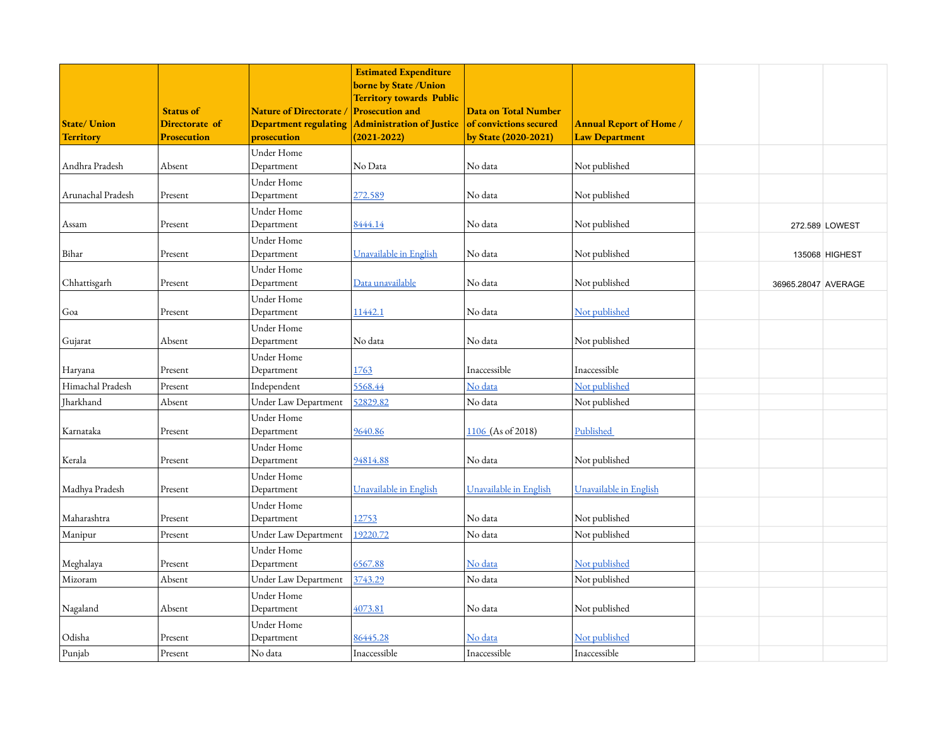| <b>State/ Union</b> | <b>Status of</b><br>Directorate of | <b>Nature of Directorate</b><br><b>Department regulating</b> | <b>Estimated Expenditure</b><br><b>borne by State /Union</b><br><b>Territory towards Public</b><br><b>Prosecution and</b><br><b>Administration of Justice</b> | <b>Data on Total Number</b><br>of convictions secured | <b>Annual Report of Home /</b> |                     |                |
|---------------------|------------------------------------|--------------------------------------------------------------|---------------------------------------------------------------------------------------------------------------------------------------------------------------|-------------------------------------------------------|--------------------------------|---------------------|----------------|
| <b>Territory</b>    | <b>Prosecution</b>                 | prosecution                                                  | $(2021 - 2022)$                                                                                                                                               | by State (2020-2021)                                  | <b>Law Department</b>          |                     |                |
|                     |                                    | Under Home                                                   |                                                                                                                                                               |                                                       |                                |                     |                |
| Andhra Pradesh      | Absent                             | Department                                                   | No Data                                                                                                                                                       | No data                                               | Not published                  |                     |                |
| Arunachal Pradesh   | Present                            | Under Home                                                   | 272.589                                                                                                                                                       | No data                                               | Not published                  |                     |                |
|                     |                                    | Department                                                   |                                                                                                                                                               |                                                       |                                |                     |                |
| Assam               | Present                            | Under Home<br>Department                                     | 8444.14                                                                                                                                                       | No data                                               | Not published                  |                     |                |
|                     |                                    | Under Home                                                   |                                                                                                                                                               |                                                       |                                |                     | 272.589 LOWEST |
| Bihar               | Present                            | Department                                                   | Unavailable in English                                                                                                                                        | No data                                               | Not published                  |                     | 135068 HIGHEST |
|                     |                                    | Under Home                                                   |                                                                                                                                                               |                                                       |                                |                     |                |
| Chhattisgarh        | Present                            | Department                                                   | Data unavailable                                                                                                                                              | No data                                               | Not published                  | 36965.28047 AVERAGE |                |
|                     |                                    | Under Home                                                   |                                                                                                                                                               |                                                       |                                |                     |                |
| Goa                 | Present                            | Department                                                   | 11442.1                                                                                                                                                       | No data                                               | Not published                  |                     |                |
|                     |                                    | Under Home                                                   |                                                                                                                                                               |                                                       |                                |                     |                |
| Gujarat             | Absent                             | Department                                                   | No data                                                                                                                                                       | No data                                               | Not published                  |                     |                |
|                     |                                    | Under Home                                                   |                                                                                                                                                               |                                                       |                                |                     |                |
| Haryana             | Present                            | Department                                                   | 1763                                                                                                                                                          | Inaccessible                                          | Inaccessible                   |                     |                |
| Himachal Pradesh    | Present                            | Independent                                                  | 5568.44                                                                                                                                                       | No data                                               | Not published                  |                     |                |
| Jharkhand           | Absent                             | Under Law Department                                         | 52829.82                                                                                                                                                      | No data                                               | Not published                  |                     |                |
|                     |                                    | Under Home                                                   |                                                                                                                                                               |                                                       |                                |                     |                |
| Karnataka           | Present                            | Department                                                   | 9640.86                                                                                                                                                       | 1106 (As of 2018)                                     | Published                      |                     |                |
|                     |                                    | Under Home                                                   |                                                                                                                                                               |                                                       |                                |                     |                |
| Kerala              | Present                            | Department                                                   | 94814.88                                                                                                                                                      | No data                                               | Not published                  |                     |                |
|                     |                                    | Under Home                                                   |                                                                                                                                                               |                                                       |                                |                     |                |
| Madhya Pradesh      | Present                            | Department                                                   | Unavailable in English                                                                                                                                        | Unavailable in English                                | Unavailable in English         |                     |                |
|                     |                                    | Under Home                                                   |                                                                                                                                                               |                                                       |                                |                     |                |
| Maharashtra         | Present                            | Department                                                   | 12753                                                                                                                                                         | No data                                               | Not published                  |                     |                |
| Manipur             | Present                            | Under Law Department                                         | 19220.72                                                                                                                                                      | No data                                               | Not published                  |                     |                |
|                     |                                    | Under Home                                                   |                                                                                                                                                               |                                                       |                                |                     |                |
| Meghalaya           | Present                            | Department                                                   | 6567.88                                                                                                                                                       | No data                                               | Not published                  |                     |                |
| Mizoram             | Absent                             | Under Law Department                                         | 3743.29                                                                                                                                                       | No data                                               | Not published                  |                     |                |
|                     |                                    | Under Home                                                   |                                                                                                                                                               |                                                       |                                |                     |                |
| Nagaland            | Absent                             | Department                                                   | 4073.81                                                                                                                                                       | No data                                               | Not published                  |                     |                |
|                     |                                    | Under Home                                                   |                                                                                                                                                               |                                                       |                                |                     |                |
| Odisha              | Present                            | Department                                                   | 86445.28                                                                                                                                                      | No data                                               | Not published                  |                     |                |
| Punjab              | Present                            | No data                                                      | Inaccessible                                                                                                                                                  | Inaccessible                                          | Inaccessible                   |                     |                |